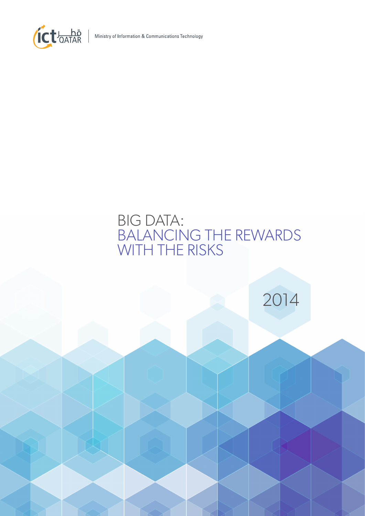

Ministry of Information & Communications Technology

# BIG DATA: BALANCING THE REWARDS WITH THE RISKS

2014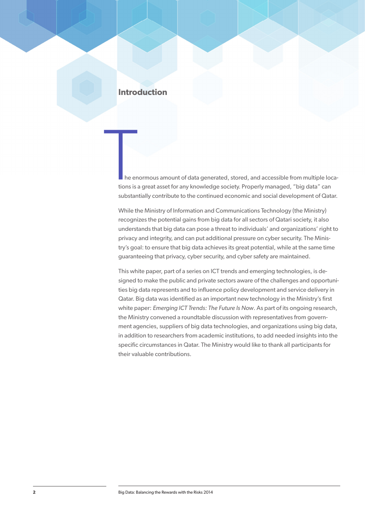# **Introduction**

he enormous amount of data generated, stored, and accessible from multiple locations is a great asset for any knowledge society. Properly managed, "big data" can substantially contribute to the continued economic and social development of Qatar.

While the Ministry of Information and Communications Technology (the Ministry) recognizes the potential gains from big data for all sectors of Qatari society, it also understands that big data can pose a threat to individuals' and organizations' right to privacy and integrity, and can put additional pressure on cyber security. The Ministry's goal: to ensure that big data achieves its great potential, while at the same time guaranteeing that privacy, cyber security, and cyber safety are maintained.

This white paper, part of a series on ICT trends and emerging technologies, is designed to make the public and private sectors aware of the challenges and opportunities big data represents and to influence policy development and service delivery in Qatar. Big data was identified as an important new technology in the Ministry's first white paper: *Emerging ICT Trends: The Future Is Now*. As part of its ongoing research, the Ministry convened a roundtable discussion with representatives from government agencies, suppliers of big data technologies, and organizations using big data, in addition to researchers from academic institutions, to add needed insights into the specific circumstances in Qatar. The Ministry would like to thank all participants for their valuable contributions.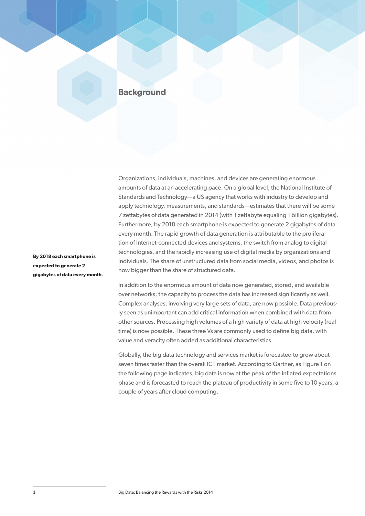# **Background**

Organizations, individuals, machines, and devices are generating enormous amounts of data at an accelerating pace. On a global level, the National Institute of Standards and Technology—a US agency that works with industry to develop and apply technology, measurements, and standards—estimates that there will be some 7 zettabytes of data generated in 2014 (with 1 zettabyte equaling 1 billion gigabytes). Furthermore, by 2018 each smartphone is expected to generate 2 gigabytes of data every month. The rapid growth of data generation is attributable to the proliferation of Internet-connected devices and systems, the switch from analog to digital technologies, and the rapidly increasing use of digital media by organizations and individuals. The share of unstructured data from social media, videos, and photos is now bigger than the share of structured data.

In addition to the enormous amount of data now generated, stored, and available over networks, the capacity to process the data has increased significantly as well. Complex analyses, involving very large sets of data, are now possible. Data previously seen as unimportant can add critical information when combined with data from other sources. Processing high volumes of a high variety of data at high velocity (real time) is now possible. These three Vs are commonly used to define big data, with value and veracity often added as additional characteristics.

Globally, the big data technology and services market is forecasted to grow about seven times faster than the overall ICT market. According to Gartner, as Figure 1 on the following page indicates, big data is now at the peak of the inflated expectations phase and is forecasted to reach the plateau of productivity in some five to 10 years, a couple of years after cloud computing.

**By 2018 each smartphone is expected to generate 2 gigabytes of data every month.**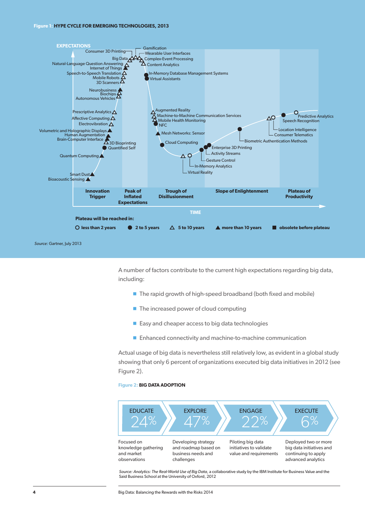#### **Figure 1: HYPE CYCLE FOR EMERGING TECHNOLOGIES, 2013**



*Source:* Gartner, July 2013

A number of factors contribute to the current high expectations regarding big data, including:

- $\blacksquare$  The rapid growth of high-speed broadband (both fixed and mobile)
- $\blacksquare$  The increased power of cloud computing
- $\blacksquare$  Easy and cheaper access to big data technologies
- $\blacksquare$  Enhanced connectivity and machine-to-machine communication

Actual usage of big data is nevertheless still relatively low, as evident in a global study showing that only 6 percent of organizations executed big data initiatives in 2012 (see Figure 2).

#### **Figure 2: BIG DATA ADOPTION**



Said Business School at the University of Oxford, 2012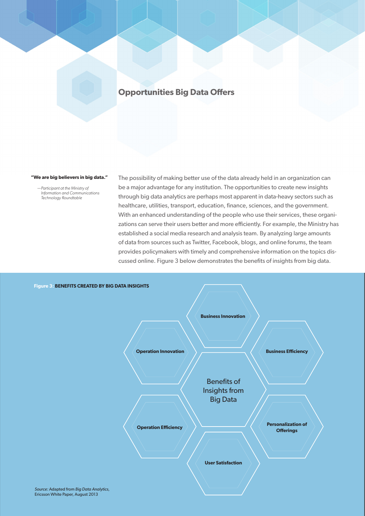# **Opportunities Big Data Offers**

 **"We are big believers in big data."** 

*—Participant at the Ministry of Information and Communications Technology Roundtable*

The possibility of making better use of the data already held in an organization can be a major advantage for any institution. The opportunities to create new insights through big data analytics are perhaps most apparent in data-heavy sectors such as healthcare, utilities, transport, education, finance, sciences, and the government. With an enhanced understanding of the people who use their services, these organizations can serve their users better and more efficiently. For example, the Ministry has established a social media research and analysis team. By analyzing large amounts of data from sources such as Twitter, Facebook, blogs, and online forums, the team provides policymakers with timely and comprehensive information on the topics discussed online. Figure 3 below demonstrates the benefits of insights from big data.



**5** Big Data: Balancing the Risks 2013<br> **Ericsson White Paper, August 2013**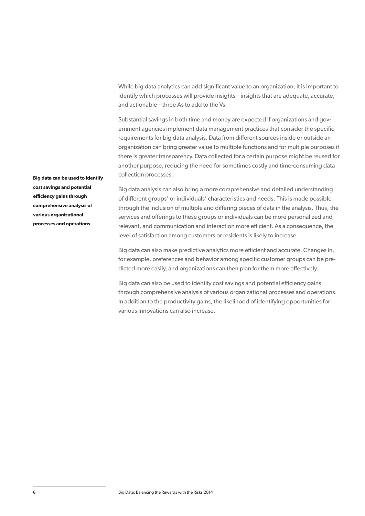While big data analytics can add significant value to an organization, it is important to identify which processes will provide insights—insights that are adequate, accurate, and actionable—three As to add to the Vs.

Substantial savings in both time and money are expected if organizations and government agencies implement data management practices that consider the specific requirements for big data analysis. Data from different sources inside or outside an organization can bring greater value to multiple functions and for multiple purposes if there is greater transparency. Data collected for a certain purpose might be reused for another purpose, reducing the need for sometimes costly and time-consuming data collection processes.

**Big data can be used to identify cost savings and potential efficiency gains through comprehensive analysis of various organizational processes and operations.**

Big data analysis can also bring a more comprehensive and detailed understanding of different groups' or individuals' characteristics and needs. This is made possible through the inclusion of multiple and differing pieces of data in the analysis. Thus, the services and offerings to these groups or individuals can be more personalized and relevant, and communication and interaction more efficient. As a consequence, the level of satisfaction among customers or residents is likely to increase.

Big data can also make predictive analytics more efficient and accurate. Changes in, for example, preferences and behavior among specific customer groups can be predicted more easily, and organizations can then plan for them more effectively.

Big data can also be used to identify cost savings and potential efficiency gains through comprehensive analysis of various organizational processes and operations. In addition to the productivity gains, the likelihood of identifying opportunities for various innovations can also increase.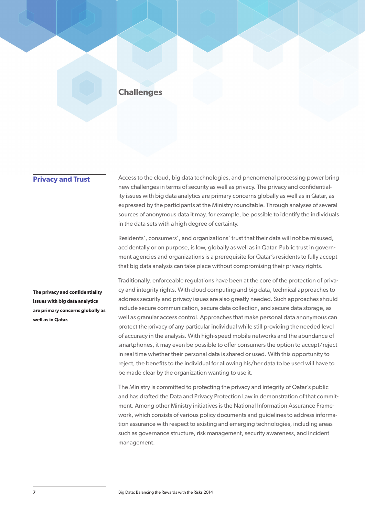# **Challenges**

## **Privacy and Trust**

Access to the cloud, big data technologies, and phenomenal processing power bring new challenges in terms of security as well as privacy. The privacy and confidentiality issues with big data analytics are primary concerns globally as well as in Qatar, as expressed by the participants at the Ministry roundtable. Through analyses of several sources of anonymous data it may, for example, be possible to identify the individuals in the data sets with a high degree of certainty.

Residents', consumers', and organizations' trust that their data will not be misused, accidentally or on purpose, is low, globally as well as in Qatar. Public trust in government agencies and organizations is a prerequisite for Qatar's residents to fully accept that big data analysis can take place without compromising their privacy rights.

**The privacy and confidentiality issues with big data analytics are primary concerns globally as well as in Qatar.**

Traditionally, enforceable regulations have been at the core of the protection of privacy and integrity rights. With cloud computing and big data, technical approaches to address security and privacy issues are also greatly needed. Such approaches should include secure communication, secure data collection, and secure data storage, as well as granular access control. Approaches that make personal data anonymous can protect the privacy of any particular individual while still providing the needed level of accuracy in the analysis. With high-speed mobile networks and the abundance of smartphones, it may even be possible to offer consumers the option to accept/reject in real time whether their personal data is shared or used. With this opportunity to reject, the benefits to the individual for allowing his/her data to be used will have to be made clear by the organization wanting to use it.

The Ministry is committed to protecting the privacy and integrity of Qatar's public and has drafted the Data and Privacy Protection Law in demonstration of that commitment. Among other Ministry initiatives is the National Information Assurance Framework, which consists of various policy documents and guidelines to address information assurance with respect to existing and emerging technologies, including areas such as governance structure, risk management, security awareness, and incident management.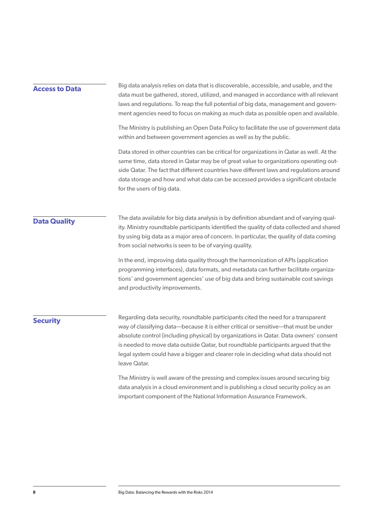### **Access to Data**

Big data analysis relies on data that is discoverable, accessible, and usable, and the data must be gathered, stored, utilized, and managed in accordance with all relevant laws and regulations. To reap the full potential of big data, management and government agencies need to focus on making as much data as possible open and available.

The Ministry is publishing an Open Data Policy to facilitate the use of government data within and between government agencies as well as by the public.

Data stored in other countries can be critical for organizations in Qatar as well. At the same time, data stored in Qatar may be of great value to organizations operating outside Qatar. The fact that different countries have different laws and regulations around data storage and how and what data can be accessed provides a significant obstacle for the users of big data.

# **Data Quality**

The data available for big data analysis is by definition abundant and of varying quality. Ministry roundtable participants identified the quality of data collected and shared by using big data as a major area of concern. In particular, the quality of data coming from social networks is seen to be of varying quality.

In the end, improving data quality through the harmonization of APIs (application programming interfaces), data formats, and metadata can further facilitate organizations' and government agencies' use of big data and bring sustainable cost savings and productivity improvements.

# **Security**

Regarding data security, roundtable participants cited the need for a transparent way of classifying data—because it is either critical or sensitive—that must be under absolute control (including physical) by organizations in Qatar. Data owners' consent is needed to move data outside Qatar, but roundtable participants argued that the legal system could have a bigger and clearer role in deciding what data should not leave Qatar.

The Ministry is well aware of the pressing and complex issues around securing big data analysis in a cloud environment and is publishing a cloud security policy as an important component of the National Information Assurance Framework.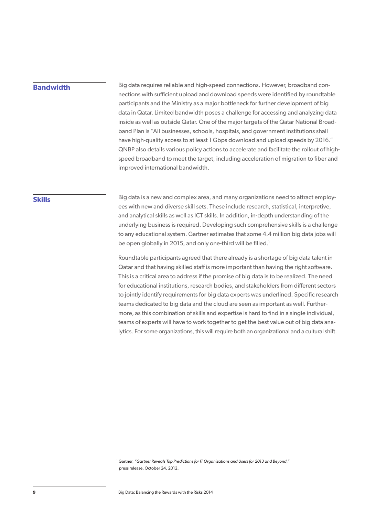# **Bandwidth**

Big data requires reliable and high-speed connections. However, broadband connections with sufficient upload and download speeds were identified by roundtable participants and the Ministry as a major bottleneck for further development of big data in Qatar. Limited bandwidth poses a challenge for accessing and analyzing data inside as well as outside Qatar. One of the major targets of the Qatar National Broadband Plan is "All businesses, schools, hospitals, and government institutions shall have high-quality access to at least 1 Gbps download and upload speeds by 2016." QNBP also details various policy actions to accelerate and facilitate the rollout of highspeed broadband to meet the target, including acceleration of migration to fiber and improved international bandwidth.

## **Skills**

Big data is a new and complex area, and many organizations need to attract employees with new and diverse skill sets. These include research, statistical, interpretive, and analytical skills as well as ICT skills. In addition, in-depth understanding of the underlying business is required. Developing such comprehensive skills is a challenge to any educational system. Gartner estimates that some 4.4 million big data jobs will be open globally in 2015, and only one-third will be filled.<sup>1</sup>

Roundtable participants agreed that there already is a shortage of big data talent in Qatar and that having skilled staff is more important than having the right software. This is a critical area to address if the promise of big data is to be realized. The need for educational institutions, research bodies, and stakeholders from different sectors to jointly identify requirements for big data experts was underlined. Specific research teams dedicated to big data and the cloud are seen as important as well. Furthermore, as this combination of skills and expertise is hard to find in a single individual, teams of experts will have to work together to get the best value out of big data analytics. For some organizations, this will require both an organizational and a cultural shift.

1 Gartner, *"Gartner Reveals Top Predictions for IT Organizations and Users for 2013 and Beyond,"*  press release, October 24, 2012.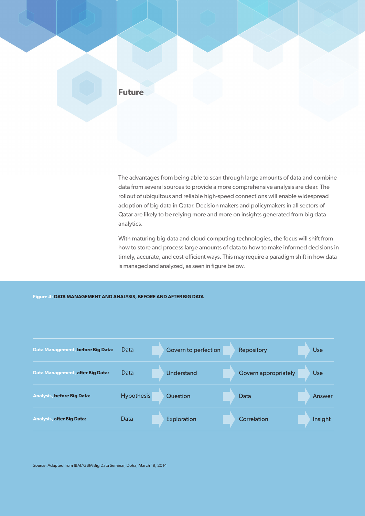

The advantages from being able to scan through large amounts of data and combine data from several sources to provide a more comprehensive analysis are clear. The rollout of ubiquitous and reliable high-speed connections will enable widespread adoption of big data in Qatar. Decision makers and policymakers in all sectors of Qatar are likely to be relying more and more on insights generated from big data analytics.

With maturing big data and cloud computing technologies, the focus will shift from how to store and process large amounts of data to how to make informed decisions in timely, accurate, and cost-efficient ways. This may require a paradigm shift in how data is managed and analyzed, as seen in figure below.

#### **Figure 4: DATA MANAGEMENT AND ANALYSIS, BEFORE AND AFTER BIG DATA**

| Data Management, before Big Data:       | Data              | Govern to perfection | Repository           | <b>Use</b> |
|-----------------------------------------|-------------------|----------------------|----------------------|------------|
| <b>Data Management, after Big Data:</b> | Data              | Understand           | Govern appropriately | <b>Use</b> |
| <b>Analysis, before Big Data:</b>       | <b>Hypothesis</b> | Question             | Data                 | Answer     |
| <b>Analysis, after Big Data:</b>        | Data              | <b>Exploration</b>   | Correlation          | Insight    |

*Source:* Adapted from IBM/GBM Big Data Seminar, Doha, March 19, 2014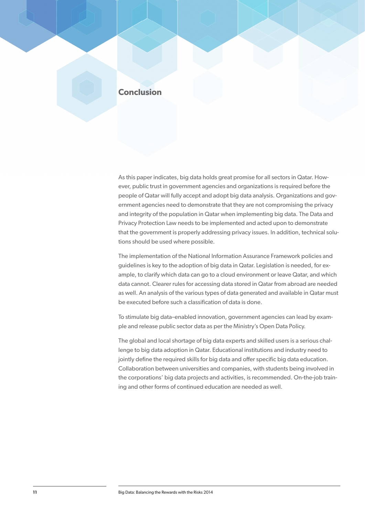# **Conclusion**

As this paper indicates, big data holds great promise for all sectors in Qatar. However, public trust in government agencies and organizations is required before the people of Qatar will fully accept and adopt big data analysis. Organizations and government agencies need to demonstrate that they are not compromising the privacy and integrity of the population in Qatar when implementing big data. The Data and Privacy Protection Law needs to be implemented and acted upon to demonstrate that the government is properly addressing privacy issues. In addition, technical solutions should be used where possible.

The implementation of the National Information Assurance Framework policies and guidelines is key to the adoption of big data in Qatar. Legislation is needed, for example, to clarify which data can go to a cloud environment or leave Qatar, and which data cannot. Clearer rules for accessing data stored in Qatar from abroad are needed as well. An analysis of the various types of data generated and available in Qatar must be executed before such a classification of data is done.

To stimulate big data–enabled innovation, government agencies can lead by example and release public sector data as per the Ministry's Open Data Policy.

The global and local shortage of big data experts and skilled users is a serious challenge to big data adoption in Qatar. Educational institutions and industry need to jointly define the required skills for big data and offer specific big data education. Collaboration between universities and companies, with students being involved in the corporations' big data projects and activities, is recommended. On-the-job training and other forms of continued education are needed as well.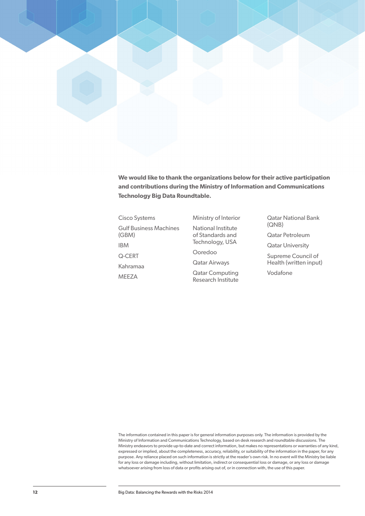

**We would like to thank the organizations below for their active participation and contributions during the Ministry of Information and Communications Technology Big Data Roundtable.**

Cisco Systems Gulf Business Machines (GBM) IBM Q-CERT Kahramaa MEEZA

Ministry of Interior National Institute of Standards and Technology, USA

Ooredoo

Qatar Airways

Qatar Computing Research Institute Qatar National Bank (QNB)

Qatar Petroleum

Qatar University

Supreme Council of Health (written input)

Vodafone

The information contained in this paper is for general information purposes only. The information is provided by the Ministry of Information and Communications Technology, based on desk research and roundtable discussions. The Ministry endeavors to provide up-to-date and correct information, but makes no representations or warranties of any kind, expressed or implied, about the completeness, accuracy, reliability, or suitability of the information in the paper, for any purpose. Any reliance placed on such information is strictly at the reader's own risk. In no event will the Ministry be liable for any loss or damage including, without limitation, indirect or consequential loss or damage, or any loss or damage whatsoever arising from loss of data or profits arising out of, or in connection with, the use of this paper.